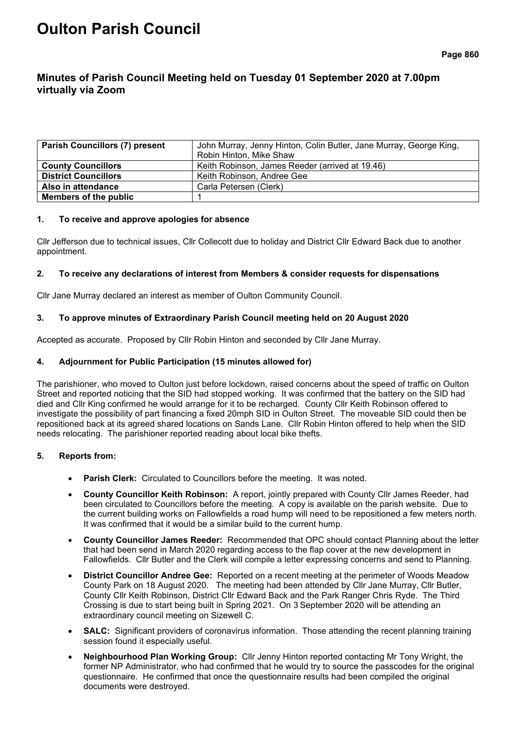# **Oulton Parish Council**

# **Minutes of Parish Council Meeting held on Tuesday 01 September 2020 at 7.00pm virtually via Zoom**

| <b>Parish Councillors (7) present</b> | John Murray, Jenny Hinton, Colin Butler, Jane Murray, George King, |  |
|---------------------------------------|--------------------------------------------------------------------|--|
|                                       | Robin Hinton, Mike Shaw                                            |  |
| <b>County Councillors</b>             | Keith Robinson, James Reeder (arrived at 19.46)                    |  |
| <b>District Councillors</b>           | Keith Robinson, Andree Gee                                         |  |
| Also in attendance                    | Carla Petersen (Clerk)                                             |  |
| Members of the public                 |                                                                    |  |

#### **1. To receive and approve apologies for absence**

Cllr Jefferson due to technical issues, Cllr Collecott due to holiday and District Cllr Edward Back due to another appointment.

#### **2. To receive any declarations of interest from Members & consider requests for dispensations**

Cllr Jane Murray declared an interest as member of Oulton Community Council.

# **3. To approve minutes of Extraordinary Parish Council meeting held on 20 August 2020**

Accepted as accurate. Proposed by Cllr Robin Hinton and seconded by Cllr Jane Murray.

# **4. Adjournment for Public Participation (15 minutes allowed for)**

The parishioner, who moved to Oulton just before lockdown, raised concerns about the speed of traffic on Oulton Street and reported noticing that the SID had stopped working. It was confirmed that the battery on the SID had died and Cllr King confirmed he would arrange for it to be recharged. County Cllr Keith Robinson offered to investigate the possibility of part financing a fixed 20mph SID in Oulton Street. The moveable SID could then be repositioned back at its agreed shared locations on Sands Lane. Cllr Robin Hinton offered to help when the SID needs relocating. The parishioner reported reading about local bike thefts.

# **5. Reports from:**

- **Parish Clerk:** Circulated to Councillors before the meeting. It was noted.
- **County Councillor Keith Robinson:** A report, jointly prepared with County Cllr James Reeder, had been circulated to Councillors before the meeting. A copy is available on the parish website. Due to the current building works on Fallowfields a road hump will need to be repositioned a few meters north. It was confirmed that it would be a similar build to the current hump.
- **County Councillor James Reeder:** Recommended that OPC should contact Planning about the letter that had been send in March 2020 regarding access to the flap cover at the new development in Fallowfields. Cllr Butler and the Clerk will compile a letter expressing concerns and send to Planning.
- **District Councillor Andree Gee:** Reported on a recent meeting at the perimeter of Woods Meadow County Park on 18 August 2020. The meeting had been attended by Cllr Jane Murray, Cllr Butler, County Cllr Keith Robinson, District Cllr Edward Back and the Park Ranger Chris Ryde. The Third Crossing is due to start being built in Spring 2021. On 3 September 2020 will be attending an extraordinary council meeting on Sizewell C.
- **SALC:** Significant providers of coronavirus information. Those attending the recent planning training session found it especially useful.
- **Neighbourhood Plan Working Group:** Cllr Jenny Hinton reported contacting Mr Tony Wright, the former NP Administrator, who had confirmed that he would try to source the passcodes for the original questionnaire. He confirmed that once the questionnaire results had been compiled the original documents were destroyed.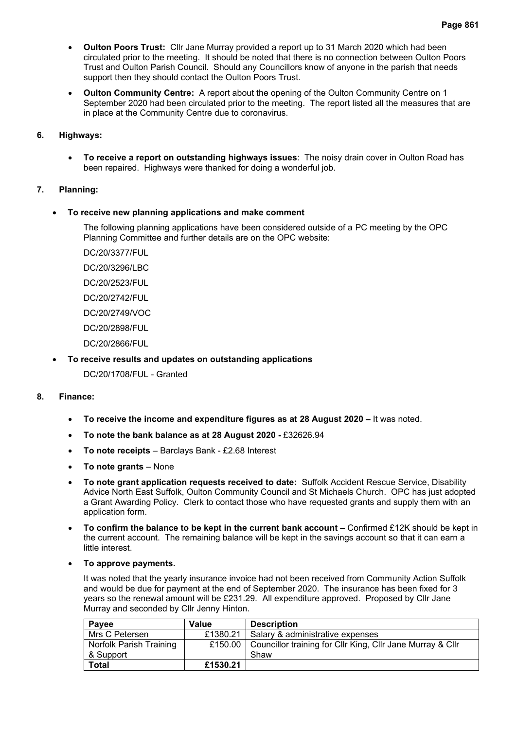- **Oulton Poors Trust:** Cllr Jane Murray provided a report up to 31 March 2020 which had been circulated prior to the meeting. It should be noted that there is no connection between Oulton Poors Trust and Oulton Parish Council. Should any Councillors know of anyone in the parish that needs support then they should contact the Oulton Poors Trust.
- **Oulton Community Centre:** A report about the opening of the Oulton Community Centre on 1 September 2020 had been circulated prior to the meeting. The report listed all the measures that are in place at the Community Centre due to coronavirus.

# **6. Highways:**

• **To receive a report on outstanding highways issues**:The noisy drain cover in Oulton Road has been repaired. Highways were thanked for doing a wonderful job.

# **7. Planning:**

# • **To receive new planning applications and make comment**

The following planning applications have been considered outside of a PC meeting by the OPC Planning Committee and further details are on the OPC website:

- DC/20/3377/FUL
- DC/20/3296/LBC
- DC/20/2523/FUL
- DC/20/2742/FUL
- DC/20/2749/VOC
- DC/20/2898/FUL
- DC/20/2866/FUL

# • **To receive results and updates on outstanding applications**

DC/20/1708/FUL - Granted

# **8. Finance:**

- **To receive the income and expenditure figures as at 28 August 2020 –** It was noted.
- **To note the bank balance as at 28 August 2020 -** £32626.94
- **To note receipts** Barclays Bank £2.68 Interest
- **To note grants** None
- **To note grant application requests received to date:** Suffolk Accident Rescue Service, Disability Advice North East Suffolk, Oulton Community Council and St Michaels Church. OPC has just adopted a Grant Awarding Policy. Clerk to contact those who have requested grants and supply them with an application form.
- **To confirm the balance to be kept in the current bank account** Confirmed £12K should be kept in the current account. The remaining balance will be kept in the savings account so that it can earn a little interest.
- **To approve payments.**

It was noted that the yearly insurance invoice had not been received from Community Action Suffolk and would be due for payment at the end of September 2020. The insurance has been fixed for 3 years so the renewal amount will be £231.29. All expenditure approved. Proposed by Cllr Jane Murray and seconded by Cllr Jenny Hinton.

| Payee                   | <b>Value</b> | <b>Description</b>                                                   |
|-------------------------|--------------|----------------------------------------------------------------------|
| Mrs C Petersen          | £1380.21     | I Salary & administrative expenses                                   |
| Norfolk Parish Training |              | £150.00   Councillor training for Cllr King, Cllr Jane Murray & Cllr |
| & Support               |              | Shaw                                                                 |
| <b>Total</b>            | £1530.21     |                                                                      |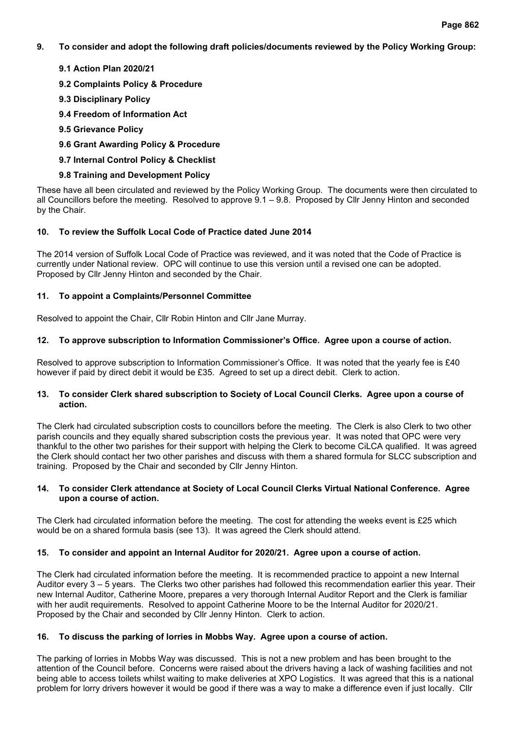**9. To consider and adopt the following draft policies/documents reviewed by the Policy Working Group:**

# **9.1 Action Plan 2020/21**

- **9.2 Complaints Policy & Procedure**
- **9.3 Disciplinary Policy**
- **9.4 Freedom of Information Act**
- **9.5 Grievance Policy**
- **9.6 Grant Awarding Policy & Procedure**
- **9.7 Internal Control Policy & Checklist**

# **9.8 Training and Development Policy**

These have all been circulated and reviewed by the Policy Working Group. The documents were then circulated to all Councillors before the meeting. Resolved to approve 9.1 – 9.8. Proposed by Cllr Jenny Hinton and seconded by the Chair.

# **10. To review the Suffolk Local Code of Practice dated June 2014**

The 2014 version of Suffolk Local Code of Practice was reviewed, and it was noted that the Code of Practice is currently under National review. OPC will continue to use this version until a revised one can be adopted. Proposed by Cllr Jenny Hinton and seconded by the Chair.

# **11. To appoint a Complaints/Personnel Committee**

Resolved to appoint the Chair, Cllr Robin Hinton and Cllr Jane Murray.

# **12. To approve subscription to Information Commissioner's Office. Agree upon a course of action.**

Resolved to approve subscription to Information Commissioner's Office. It was noted that the yearly fee is £40 however if paid by direct debit it would be £35. Agreed to set up a direct debit. Clerk to action.

#### **13. To consider Clerk shared subscription to Society of Local Council Clerks. Agree upon a course of action.**

The Clerk had circulated subscription costs to councillors before the meeting. The Clerk is also Clerk to two other parish councils and they equally shared subscription costs the previous year. It was noted that OPC were very thankful to the other two parishes for their support with helping the Clerk to become CiLCA qualified. It was agreed the Clerk should contact her two other parishes and discuss with them a shared formula for SLCC subscription and training. Proposed by the Chair and seconded by Cllr Jenny Hinton.

#### **14. To consider Clerk attendance at Society of Local Council Clerks Virtual National Conference. Agree upon a course of action.**

The Clerk had circulated information before the meeting. The cost for attending the weeks event is £25 which would be on a shared formula basis (see 13). It was agreed the Clerk should attend.

# **15. To consider and appoint an Internal Auditor for 2020/21. Agree upon a course of action.**

The Clerk had circulated information before the meeting. It is recommended practice to appoint a new Internal Auditor every 3 – 5 years. The Clerks two other parishes had followed this recommendation earlier this year. Their new Internal Auditor, Catherine Moore, prepares a very thorough Internal Auditor Report and the Clerk is familiar with her audit requirements. Resolved to appoint Catherine Moore to be the Internal Auditor for 2020/21. Proposed by the Chair and seconded by Cllr Jenny Hinton. Clerk to action.

# **16. To discuss the parking of lorries in Mobbs Way. Agree upon a course of action.**

The parking of lorries in Mobbs Way was discussed. This is not a new problem and has been brought to the attention of the Council before. Concerns were raised about the drivers having a lack of washing facilities and not being able to access toilets whilst waiting to make deliveries at XPO Logistics. It was agreed that this is a national problem for lorry drivers however it would be good if there was a way to make a difference even if just locally. Cllr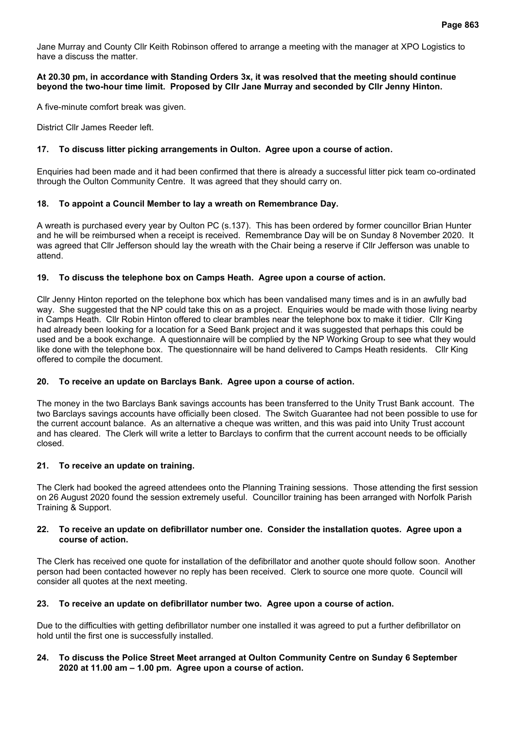Jane Murray and County Cllr Keith Robinson offered to arrange a meeting with the manager at XPO Logistics to have a discuss the matter.

#### **At 20.30 pm, in accordance with Standing Orders 3x, it was resolved that the meeting should continue beyond the two-hour time limit. Proposed by Cllr Jane Murray and seconded by Cllr Jenny Hinton.**

A five-minute comfort break was given.

District Cllr James Reeder left.

#### **17. To discuss litter picking arrangements in Oulton. Agree upon a course of action.**

Enquiries had been made and it had been confirmed that there is already a successful litter pick team co-ordinated through the Oulton Community Centre. It was agreed that they should carry on.

#### **18. To appoint a Council Member to lay a wreath on Remembrance Day.**

A wreath is purchased every year by Oulton PC (s.137). This has been ordered by former councillor Brian Hunter and he will be reimbursed when a receipt is received. Remembrance Day will be on Sunday 8 November 2020. It was agreed that Cllr Jefferson should lay the wreath with the Chair being a reserve if Cllr Jefferson was unable to attend.

#### **19. To discuss the telephone box on Camps Heath. Agree upon a course of action.**

Cllr Jenny Hinton reported on the telephone box which has been vandalised many times and is in an awfully bad way. She suggested that the NP could take this on as a project. Enquiries would be made with those living nearby in Camps Heath. Cllr Robin Hinton offered to clear brambles near the telephone box to make it tidier. Cllr King had already been looking for a location for a Seed Bank project and it was suggested that perhaps this could be used and be a book exchange. A questionnaire will be complied by the NP Working Group to see what they would like done with the telephone box. The questionnaire will be hand delivered to Camps Heath residents. Cllr King offered to compile the document.

#### **20. To receive an update on Barclays Bank. Agree upon a course of action.**

The money in the two Barclays Bank savings accounts has been transferred to the Unity Trust Bank account. The two Barclays savings accounts have officially been closed. The Switch Guarantee had not been possible to use for the current account balance. As an alternative a cheque was written, and this was paid into Unity Trust account and has cleared. The Clerk will write a letter to Barclays to confirm that the current account needs to be officially closed.

#### **21. To receive an update on training.**

The Clerk had booked the agreed attendees onto the Planning Training sessions. Those attending the first session on 26 August 2020 found the session extremely useful. Councillor training has been arranged with Norfolk Parish Training & Support.

#### **22. To receive an update on defibrillator number one. Consider the installation quotes. Agree upon a course of action.**

The Clerk has received one quote for installation of the defibrillator and another quote should follow soon. Another person had been contacted however no reply has been received. Clerk to source one more quote. Council will consider all quotes at the next meeting.

#### **23. To receive an update on defibrillator number two. Agree upon a course of action.**

Due to the difficulties with getting defibrillator number one installed it was agreed to put a further defibrillator on hold until the first one is successfully installed.

#### **24. To discuss the Police Street Meet arranged at Oulton Community Centre on Sunday 6 September 2020 at 11.00 am – 1.00 pm. Agree upon a course of action.**